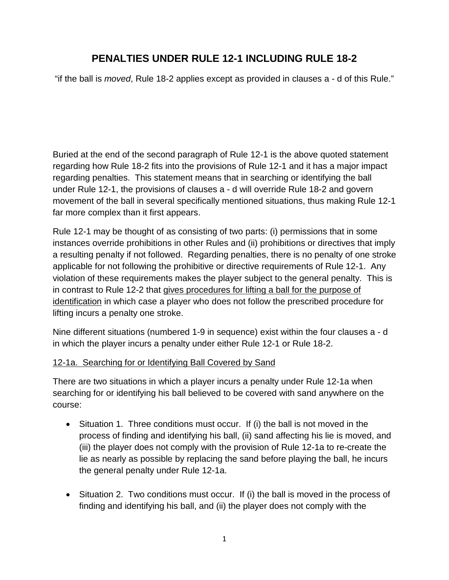# **PENALTIES UNDER RULE 12-1 INCLUDING RULE 18-2**

"if the ball is *moved*, Rule 18-2 applies except as provided in clauses a - d of this Rule."

Buried at the end of the second paragraph of Rule 12-1 is the above quoted statement regarding how Rule 18-2 fits into the provisions of Rule 12-1 and it has a major impact regarding penalties. This statement means that in searching or identifying the ball under Rule 12-1, the provisions of clauses a - d will override Rule 18-2 and govern movement of the ball in several specifically mentioned situations, thus making Rule 12-1 far more complex than it first appears.

Rule 12-1 may be thought of as consisting of two parts: (i) permissions that in some instances override prohibitions in other Rules and (ii) prohibitions or directives that imply a resulting penalty if not followed. Regarding penalties, there is no penalty of one stroke applicable for not following the prohibitive or directive requirements of Rule 12-1. Any violation of these requirements makes the player subject to the general penalty. This is in contrast to Rule 12-2 that gives procedures for lifting a ball for the purpose of identification in which case a player who does not follow the prescribed procedure for lifting incurs a penalty one stroke.

Nine different situations (numbered 1-9 in sequence) exist within the four clauses a - d in which the player incurs a penalty under either Rule 12-1 or Rule 18-2.

#### 12-1a. Searching for or Identifying Ball Covered by Sand

There are two situations in which a player incurs a penalty under Rule 12-1a when searching for or identifying his ball believed to be covered with sand anywhere on the course:

- Situation 1. Three conditions must occur. If (i) the ball is not moved in the process of finding and identifying his ball, (ii) sand affecting his lie is moved, and (iii) the player does not comply with the provision of Rule 12-1a to re-create the lie as nearly as possible by replacing the sand before playing the ball, he incurs the general penalty under Rule 12-1a.
- Situation 2. Two conditions must occur. If (i) the ball is moved in the process of finding and identifying his ball, and (ii) the player does not comply with the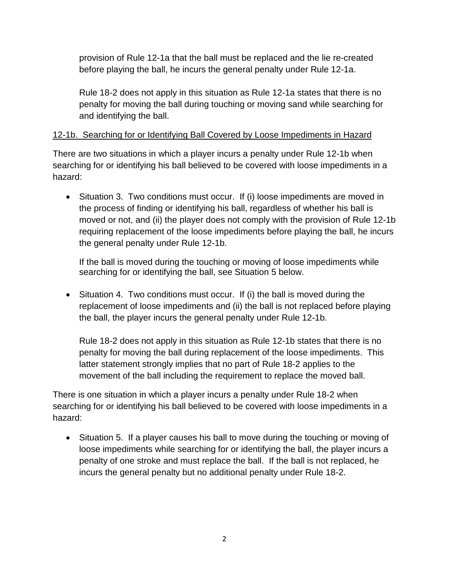provision of Rule 12-1a that the ball must be replaced and the lie re-created before playing the ball, he incurs the general penalty under Rule 12-1a.

Rule 18-2 does not apply in this situation as Rule 12-1a states that there is no penalty for moving the ball during touching or moving sand while searching for and identifying the ball.

## 12-1b. Searching for or Identifying Ball Covered by Loose Impediments in Hazard

There are two situations in which a player incurs a penalty under Rule 12-1b when searching for or identifying his ball believed to be covered with loose impediments in a hazard:

• Situation 3. Two conditions must occur. If (i) loose impediments are moved in the process of finding or identifying his ball, regardless of whether his ball is moved or not, and (ii) the player does not comply with the provision of Rule 12-1b requiring replacement of the loose impediments before playing the ball, he incurs the general penalty under Rule 12-1b.

If the ball is moved during the touching or moving of loose impediments while searching for or identifying the ball, see Situation 5 below.

• Situation 4. Two conditions must occur. If (i) the ball is moved during the replacement of loose impediments and (ii) the ball is not replaced before playing the ball, the player incurs the general penalty under Rule 12-1b.

Rule 18-2 does not apply in this situation as Rule 12-1b states that there is no penalty for moving the ball during replacement of the loose impediments. This latter statement strongly implies that no part of Rule 18-2 applies to the movement of the ball including the requirement to replace the moved ball.

There is one situation in which a player incurs a penalty under Rule 18-2 when searching for or identifying his ball believed to be covered with loose impediments in a hazard:

• Situation 5. If a player causes his ball to move during the touching or moving of loose impediments while searching for or identifying the ball, the player incurs a penalty of one stroke and must replace the ball. If the ball is not replaced, he incurs the general penalty but no additional penalty under Rule 18-2.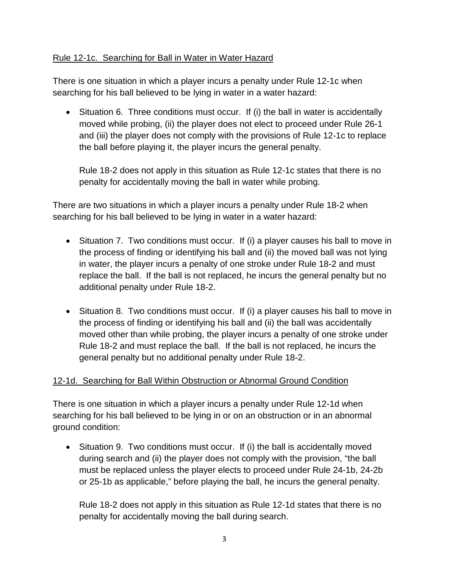## Rule 12-1c. Searching for Ball in Water in Water Hazard

There is one situation in which a player incurs a penalty under Rule 12-1c when searching for his ball believed to be lying in water in a water hazard:

• Situation 6. Three conditions must occur. If (i) the ball in water is accidentally moved while probing, (ii) the player does not elect to proceed under Rule 26-1 and (iii) the player does not comply with the provisions of Rule 12-1c to replace the ball before playing it, the player incurs the general penalty.

Rule 18-2 does not apply in this situation as Rule 12-1c states that there is no penalty for accidentally moving the ball in water while probing.

There are two situations in which a player incurs a penalty under Rule 18-2 when searching for his ball believed to be lying in water in a water hazard:

- Situation 7. Two conditions must occur. If (i) a player causes his ball to move in the process of finding or identifying his ball and (ii) the moved ball was not lying in water, the player incurs a penalty of one stroke under Rule 18-2 and must replace the ball. If the ball is not replaced, he incurs the general penalty but no additional penalty under Rule 18-2.
- Situation 8. Two conditions must occur. If (i) a player causes his ball to move in the process of finding or identifying his ball and (ii) the ball was accidentally moved other than while probing, the player incurs a penalty of one stroke under Rule 18-2 and must replace the ball. If the ball is not replaced, he incurs the general penalty but no additional penalty under Rule 18-2.

#### 12-1d. Searching for Ball Within Obstruction or Abnormal Ground Condition

There is one situation in which a player incurs a penalty under Rule 12-1d when searching for his ball believed to be lying in or on an obstruction or in an abnormal ground condition:

• Situation 9. Two conditions must occur. If (i) the ball is accidentally moved during search and (ii) the player does not comply with the provision, "the ball must be replaced unless the player elects to proceed under Rule 24-1b, 24-2b or 25-1b as applicable," before playing the ball, he incurs the general penalty.

Rule 18-2 does not apply in this situation as Rule 12-1d states that there is no penalty for accidentally moving the ball during search.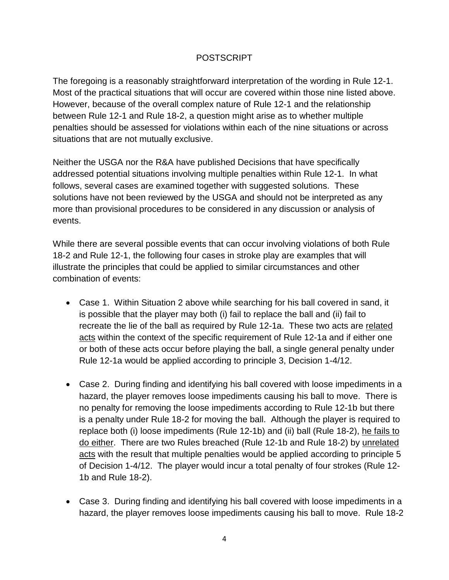### POSTSCRIPT

The foregoing is a reasonably straightforward interpretation of the wording in Rule 12-1. Most of the practical situations that will occur are covered within those nine listed above. However, because of the overall complex nature of Rule 12-1 and the relationship between Rule 12-1 and Rule 18-2, a question might arise as to whether multiple penalties should be assessed for violations within each of the nine situations or across situations that are not mutually exclusive.

Neither the USGA nor the R&A have published Decisions that have specifically addressed potential situations involving multiple penalties within Rule 12-1. In what follows, several cases are examined together with suggested solutions. These solutions have not been reviewed by the USGA and should not be interpreted as any more than provisional procedures to be considered in any discussion or analysis of events.

While there are several possible events that can occur involving violations of both Rule 18-2 and Rule 12-1, the following four cases in stroke play are examples that will illustrate the principles that could be applied to similar circumstances and other combination of events:

- Case 1. Within Situation 2 above while searching for his ball covered in sand, it is possible that the player may both (i) fail to replace the ball and (ii) fail to recreate the lie of the ball as required by Rule 12-1a. These two acts are related acts within the context of the specific requirement of Rule 12-1a and if either one or both of these acts occur before playing the ball, a single general penalty under Rule 12-1a would be applied according to principle 3, Decision 1-4/12.
- Case 2. During finding and identifying his ball covered with loose impediments in a hazard, the player removes loose impediments causing his ball to move. There is no penalty for removing the loose impediments according to Rule 12-1b but there is a penalty under Rule 18-2 for moving the ball. Although the player is required to replace both (i) loose impediments (Rule 12-1b) and (ii) ball (Rule 18-2), he fails to do either. There are two Rules breached (Rule 12-1b and Rule 18-2) by unrelated acts with the result that multiple penalties would be applied according to principle 5 of Decision 1-4/12. The player would incur a total penalty of four strokes (Rule 12- 1b and Rule 18-2).
- Case 3. During finding and identifying his ball covered with loose impediments in a hazard, the player removes loose impediments causing his ball to move. Rule 18-2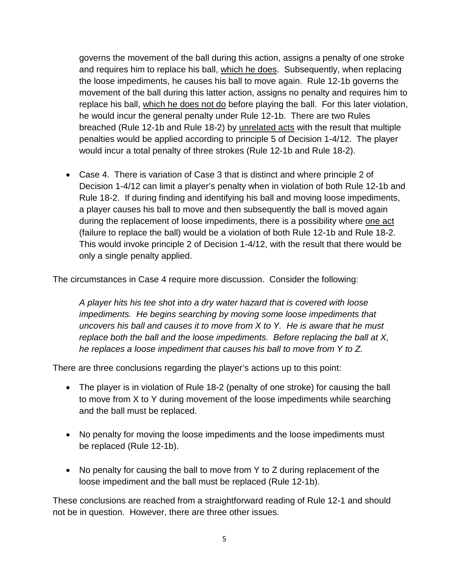governs the movement of the ball during this action, assigns a penalty of one stroke and requires him to replace his ball, which he does. Subsequently, when replacing the loose impediments, he causes his ball to move again. Rule 12-1b governs the movement of the ball during this latter action, assigns no penalty and requires him to replace his ball, which he does not do before playing the ball. For this later violation, he would incur the general penalty under Rule 12-1b. There are two Rules breached (Rule 12-1b and Rule 18-2) by unrelated acts with the result that multiple penalties would be applied according to principle 5 of Decision 1-4/12. The player would incur a total penalty of three strokes (Rule 12-1b and Rule 18-2).

• Case 4. There is variation of Case 3 that is distinct and where principle 2 of Decision 1-4/12 can limit a player's penalty when in violation of both Rule 12-1b and Rule 18-2. If during finding and identifying his ball and moving loose impediments, a player causes his ball to move and then subsequently the ball is moved again during the replacement of loose impediments, there is a possibility where one act (failure to replace the ball) would be a violation of both Rule 12-1b and Rule 18-2. This would invoke principle 2 of Decision 1-4/12, with the result that there would be only a single penalty applied.

The circumstances in Case 4 require more discussion. Consider the following:

*A player hits his tee shot into a dry water hazard that is covered with loose impediments. He begins searching by moving some loose impediments that uncovers his ball and causes it to move from X to Y. He is aware that he must replace both the ball and the loose impediments. Before replacing the ball at X, he replaces a loose impediment that causes his ball to move from Y to Z.*

There are three conclusions regarding the player's actions up to this point:

- The player is in violation of Rule 18-2 (penalty of one stroke) for causing the ball to move from X to Y during movement of the loose impediments while searching and the ball must be replaced.
- No penalty for moving the loose impediments and the loose impediments must be replaced (Rule 12-1b).
- No penalty for causing the ball to move from Y to Z during replacement of the loose impediment and the ball must be replaced (Rule 12-1b).

These conclusions are reached from a straightforward reading of Rule 12-1 and should not be in question. However, there are three other issues.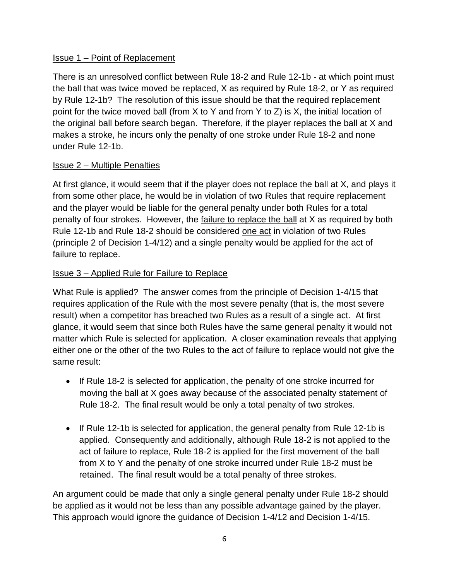#### Issue 1 – Point of Replacement

There is an unresolved conflict between Rule 18-2 and Rule 12-1b - at which point must the ball that was twice moved be replaced, X as required by Rule 18-2, or Y as required by Rule 12-1b? The resolution of this issue should be that the required replacement point for the twice moved ball (from X to Y and from Y to Z) is X, the initial location of the original ball before search began. Therefore, if the player replaces the ball at X and makes a stroke, he incurs only the penalty of one stroke under Rule 18-2 and none under Rule 12-1b.

#### Issue 2 – Multiple Penalties

At first glance, it would seem that if the player does not replace the ball at X, and plays it from some other place, he would be in violation of two Rules that require replacement and the player would be liable for the general penalty under both Rules for a total penalty of four strokes. However, the failure to replace the ball at X as required by both Rule 12-1b and Rule 18-2 should be considered one act in violation of two Rules (principle 2 of Decision 1-4/12) and a single penalty would be applied for the act of failure to replace.

#### Issue 3 – Applied Rule for Failure to Replace

What Rule is applied? The answer comes from the principle of Decision 1-4/15 that requires application of the Rule with the most severe penalty (that is, the most severe result) when a competitor has breached two Rules as a result of a single act. At first glance, it would seem that since both Rules have the same general penalty it would not matter which Rule is selected for application. A closer examination reveals that applying either one or the other of the two Rules to the act of failure to replace would not give the same result:

- If Rule 18-2 is selected for application, the penalty of one stroke incurred for moving the ball at X goes away because of the associated penalty statement of Rule 18-2. The final result would be only a total penalty of two strokes.
- If Rule 12-1b is selected for application, the general penalty from Rule 12-1b is applied. Consequently and additionally, although Rule 18-2 is not applied to the act of failure to replace, Rule 18-2 is applied for the first movement of the ball from X to Y and the penalty of one stroke incurred under Rule 18-2 must be retained. The final result would be a total penalty of three strokes.

An argument could be made that only a single general penalty under Rule 18-2 should be applied as it would not be less than any possible advantage gained by the player. This approach would ignore the guidance of Decision 1-4/12 and Decision 1-4/15.